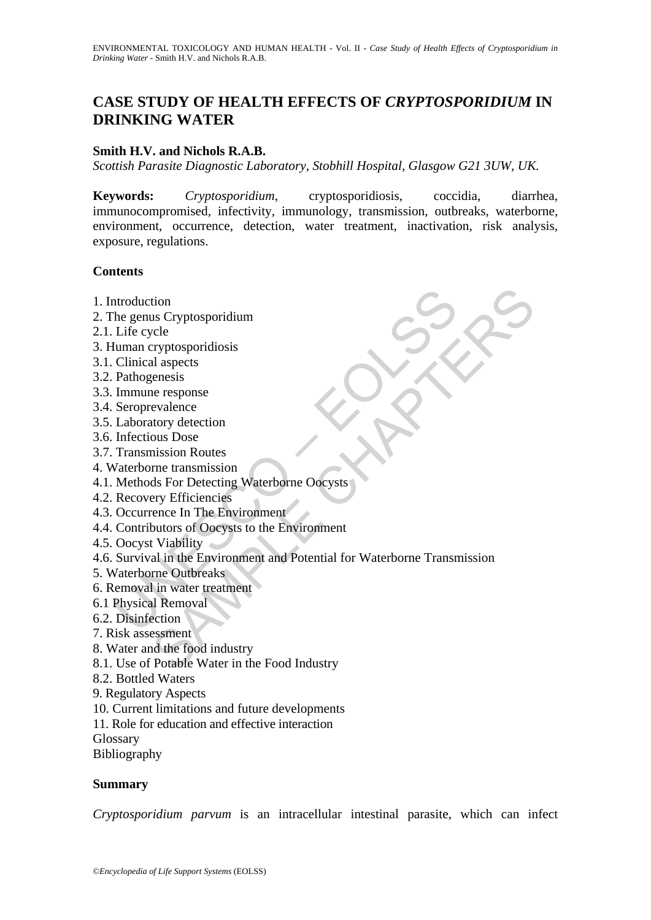# **CASE STUDY OF HEALTH EFFECTS OF** *CRYPTOSPORIDIUM* **IN DRINKING WATER**

## **Smith H.V. and Nichols R.A.B.**

*Scottish Parasite Diagnostic Laboratory, Stobhill Hospital, Glasgow G21 3UW, UK.* 

**Keywords:** *Cryptosporidium*, cryptosporidiosis, coccidia, diarrhea, immunocompromised, infectivity, immunology, transmission, outbreaks, waterborne, environment, occurrence, detection, water treatment, inactivation, risk analysis, exposure, regulations.

#### **Contents**

- 1. Introduction
- 2. The genus Cryptosporidium
- 2.1. Life cycle
- 3. Human cryptosporidiosis
- 3.1. Clinical aspects
- 3.2. Pathogenesis
- 3.3. Immune response
- 3.4. Seroprevalence
- 3.5. Laboratory detection
- 3.6. Infectious Dose
- 3.7. Transmission Routes
- 4. Waterborne transmission
- 4.1. Methods For Detecting Waterborne Oocysts
- 4.2. Recovery Efficiencies
- 4.3. Occurrence In The Environment
- 4.4. Contributors of Oocysts to the Environment
- 4.5. Oocyst Viability
- ntroduction<br>
he genus Cryptosporidium<br>
Life cycle<br>
Iuman cryptosporidiosis<br>
Clinical aspects<br>
Emhogenesis<br>
Immune response<br>
Seroprevalence<br>
Laboratory detection<br>
Infectious Dose<br>
Transmission Routes<br>
Methods For Detecting tion<br>
us Cryptosporidionis<br>
al aspects<br>
al aspects<br>
al aspects<br>
renessis<br>
al aspects<br>
renessission<br>
al angects<br>
encesponse<br>
that also Routes<br>
also Decise in The Environment<br>
duscription Cocystals to the Environment<br>
viabil 4.6. Survival in the Environment and Potential for Waterborne Transmission
- 5. Waterborne Outbreaks
- 6. Removal in water treatment
- 6.1 Physical Removal
- 6.2. Disinfection
- 7. Risk assessment
- 8. Water and the food industry
- 8.1. Use of Potable Water in the Food Industry
- 8.2. Bottled Waters
- 9. Regulatory Aspects
- 10. Current limitations and future developments
- 11. Role for education and effective interaction

Glossary

Bibliography

#### **Summary**

*Cryptosporidium parvum* is an intracellular intestinal parasite, which can infect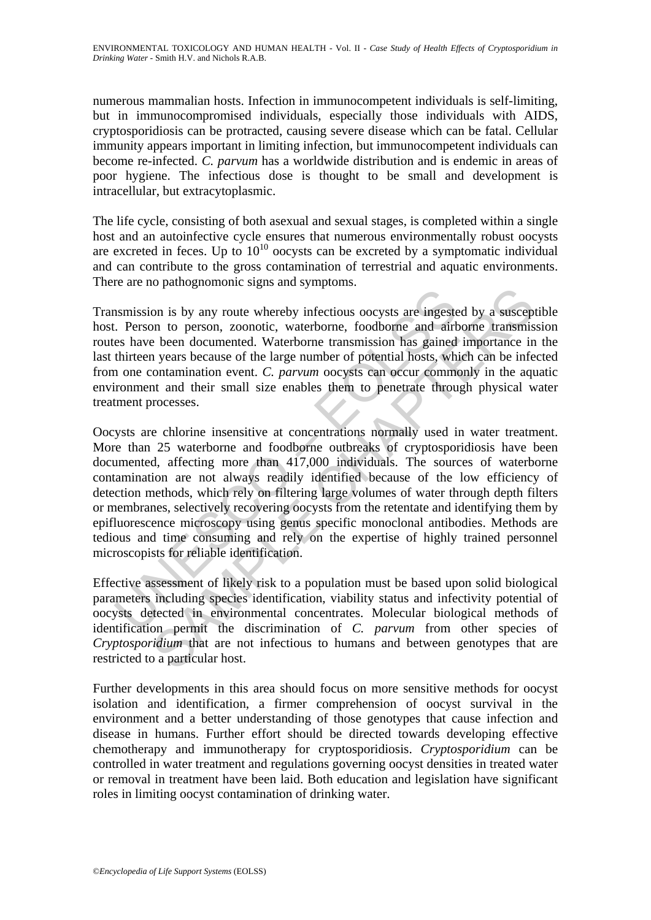numerous mammalian hosts. Infection in immunocompetent individuals is self-limiting, but in immunocompromised individuals, especially those individuals with AIDS, cryptosporidiosis can be protracted, causing severe disease which can be fatal. Cellular immunity appears important in limiting infection, but immunocompetent individuals can become re-infected. *C. parvum* has a worldwide distribution and is endemic in areas of poor hygiene. The infectious dose is thought to be small and development is intracellular, but extracytoplasmic.

The life cycle, consisting of both asexual and sexual stages, is completed within a single host and an autoinfective cycle ensures that numerous environmentally robust oocysts are excreted in feces. Up to  $10^{10}$  oocysts can be excreted by a symptomatic individual and can contribute to the gross contamination of terrestrial and aquatic environments. There are no pathognomonic signs and symptoms.

Transmission is by any route whereby infectious oocysts are ingested by a susceptible host. Person to person, zoonotic, waterborne, foodborne and airborne transmission routes have been documented. Waterborne transmission has gained importance in the last thirteen years because of the large number of potential hosts, which can be infected from one contamination event. *C. parvum* oocysts can occur commonly in the aquatic environment and their small size enables them to penetrate through physical water treatment processes.

Ensision is by any route whereby infectious oocysts are ingeste.<br>
. Person to person, zoonotic, waterborne, foodborne and air<br>
thirteen years because of the large number of potential hosts, when<br>
the three parameters of t The parameter of the sympatric socysts are ingested by a susception of the promot person, zoonotic, waterborne, foodborne and airborne transmission be been documented. Waterborne, foodborne and airborne transmission be be Oocysts are chlorine insensitive at concentrations normally used in water treatment. More than 25 waterborne and foodborne outbreaks of cryptosporidiosis have been documented, affecting more than 417,000 individuals. The sources of waterborne contamination are not always readily identified because of the low efficiency of detection methods, which rely on filtering large volumes of water through depth filters or membranes, selectively recovering oocysts from the retentate and identifying them by epifluorescence microscopy using genus specific monoclonal antibodies. Methods are tedious and time consuming and rely on the expertise of highly trained personnel microscopists for reliable identification.

Effective assessment of likely risk to a population must be based upon solid biological parameters including species identification, viability status and infectivity potential of oocysts detected in environmental concentrates. Molecular biological methods of identification permit the discrimination of *C. parvum* from other species of *Cryptosporidium* that are not infectious to humans and between genotypes that are restricted to a particular host.

Further developments in this area should focus on more sensitive methods for oocyst isolation and identification, a firmer comprehension of oocyst survival in the environment and a better understanding of those genotypes that cause infection and disease in humans. Further effort should be directed towards developing effective chemotherapy and immunotherapy for cryptosporidiosis. *Cryptosporidium* can be controlled in water treatment and regulations governing oocyst densities in treated water or removal in treatment have been laid. Both education and legislation have significant roles in limiting oocyst contamination of drinking water.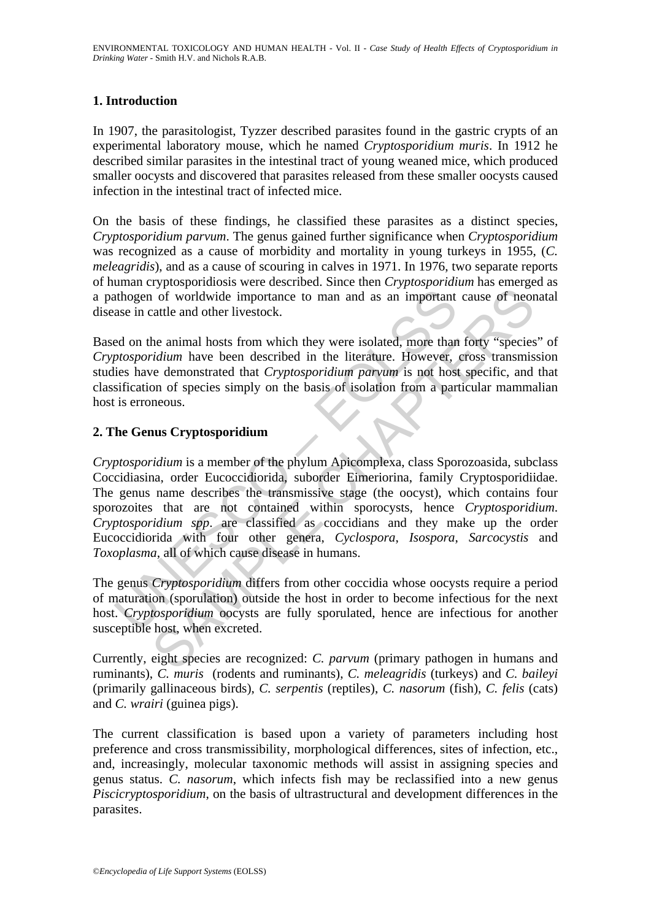# **1. Introduction**

In 1907, the parasitologist, Tyzzer described parasites found in the gastric crypts of an experimental laboratory mouse, which he named *Cryptosporidium muris*. In 1912 he described similar parasites in the intestinal tract of young weaned mice, which produced smaller oocysts and discovered that parasites released from these smaller oocysts caused infection in the intestinal tract of infected mice.

On the basis of these findings, he classified these parasites as a distinct species, *Cryptosporidium parvum*. The genus gained further significance when *Cryptosporidium* was recognized as a cause of morbidity and mortality in young turkeys in 1955, (*C. meleagridis*), and as a cause of scouring in calves in 1971. In 1976, two separate reports of human cryptosporidiosis were described. Since then *Cryptosporidium* has emerged as a pathogen of worldwide importance to man and as an important cause of neonatal disease in cattle and other livestock.

Based on the animal hosts from which they were isolated, more than forty "species" of *Cryptosporidium* have been described in the literature. However, cross transmission studies have demonstrated that *Cryptosporidium parvum* is not host specific, and that classification of species simply on the basis of isolation from a particular mammalian host is erroneous.

# **2. The Genus Cryptosporidium**

ation of worldwide importance to man and as an important<br>ase in cattle and other livestock.<br>
Ed on the animal hosts from which they were isolated, more than<br> *thosporidium* have been described in the literature. However,<br> or of worldwide importance to man and as an important cause of neor<br>attle and other livestock.<br>the animal hosts from which they were isolated, more than forty "species<br>ratile and other livestock.<br>the animal hosts from whic *Cryptosporidium* is a member of the phylum Apicomplexa, class Sporozoasida, subclass Coccidiasina, order Eucoccidiorida, suborder Eimeriorina, family Cryptosporidiidae. The genus name describes the transmissive stage (the oocyst), which contains four sporozoites that are not contained within sporocysts, hence *Cryptosporidium*. *Cryptosporidium spp*. are classified as coccidians and they make up the order Eucoccidiorida with four other genera, *Cyclospora*, *Isospora*, *Sarcocystis* and *Toxoplasma*, all of which cause disease in humans.

The genus *Cryptosporidium* differs from other coccidia whose oocysts require a period of maturation (sporulation) outside the host in order to become infectious for the next host. *Cryptosporidium* oocysts are fully sporulated, hence are infectious for another susceptible host, when excreted.

Currently, eight species are recognized: *C. parvum* (primary pathogen in humans and ruminants), *C. muris* (rodents and ruminants), *C. meleagridis* (turkeys) and *C. baileyi*  (primarily gallinaceous birds), *C. serpentis* (reptiles), *C. nasorum* (fish), *C. felis* (cats) and *C. wrairi* (guinea pigs).

The current classification is based upon a variety of parameters including host preference and cross transmissibility, morphological differences, sites of infection, etc., and, increasingly, molecular taxonomic methods will assist in assigning species and genus status. *C. nasorum*, which infects fish may be reclassified into a new genus *Piscicryptosporidium*, on the basis of ultrastructural and development differences in the parasites.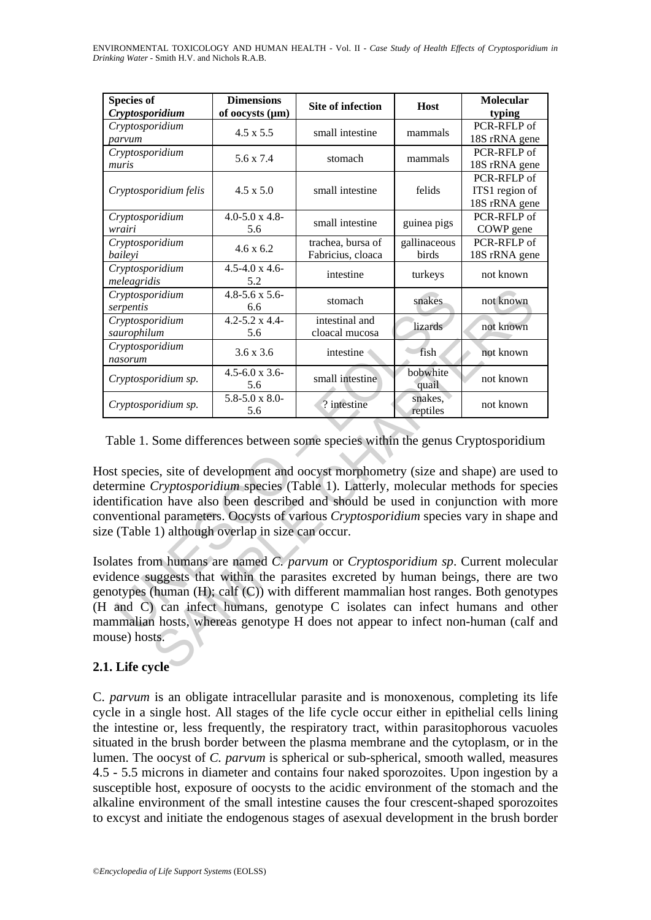ENVIRONMENTAL TOXICOLOGY AND HUMAN HEALTH - Vol. II - *Case Study of Health Effects of Cryptosporidium in Drinking Water* - Smith H.V. and Nichols R.A.B.

| <b>Species of</b><br>Cryptosporidium                                                                                                                                                                                                                                                                                                                                                                                                                                                                                                                                                                                                                                                                                                                                                                                                                                                                                                                   | <b>Dimensions</b><br>of oocysts (µm) | Site of infection                      | Host                  | <b>Molecular</b><br>typing                     |
|--------------------------------------------------------------------------------------------------------------------------------------------------------------------------------------------------------------------------------------------------------------------------------------------------------------------------------------------------------------------------------------------------------------------------------------------------------------------------------------------------------------------------------------------------------------------------------------------------------------------------------------------------------------------------------------------------------------------------------------------------------------------------------------------------------------------------------------------------------------------------------------------------------------------------------------------------------|--------------------------------------|----------------------------------------|-----------------------|------------------------------------------------|
| Cryptosporidium<br>parvum                                                                                                                                                                                                                                                                                                                                                                                                                                                                                                                                                                                                                                                                                                                                                                                                                                                                                                                              | $4.5 \times 5.5$                     | small intestine                        | mammals               | PCR-RFLP of<br>18S rRNA gene                   |
| Cryptosporidium<br>muris                                                                                                                                                                                                                                                                                                                                                                                                                                                                                                                                                                                                                                                                                                                                                                                                                                                                                                                               | 5.6 x 7.4                            | stomach                                | mammals               | PCR-RFLP of<br>18S rRNA gene                   |
| Cryptosporidium felis                                                                                                                                                                                                                                                                                                                                                                                                                                                                                                                                                                                                                                                                                                                                                                                                                                                                                                                                  | $4.5 \times 5.0$                     | small intestine                        | felids                | PCR-RFLP of<br>ITS1 region of<br>18S rRNA gene |
| Cryptosporidium<br>wrairi                                                                                                                                                                                                                                                                                                                                                                                                                                                                                                                                                                                                                                                                                                                                                                                                                                                                                                                              | $4.0 - 5.0 \times 4.8$<br>5.6        | small intestine                        | guinea pigs           | PCR-RFLP of<br>COWP gene                       |
| Cryptosporidium<br>baileyi                                                                                                                                                                                                                                                                                                                                                                                                                                                                                                                                                                                                                                                                                                                                                                                                                                                                                                                             | 4.6 x 6.2                            | trachea, bursa of<br>Fabricius, cloaca | gallinaceous<br>birds | PCR-RFLP of<br>18S rRNA gene                   |
| Cryptosporidium<br>meleagridis                                                                                                                                                                                                                                                                                                                                                                                                                                                                                                                                                                                                                                                                                                                                                                                                                                                                                                                         | $4.5 - 4.0 \times 4.6$<br>5.2        | intestine                              | turkeys               | not known                                      |
| Cryptosporidium<br>serpentis                                                                                                                                                                                                                                                                                                                                                                                                                                                                                                                                                                                                                                                                                                                                                                                                                                                                                                                           | $4.8 - 5.6 \times 5.6$<br>6.6        | stomach                                | snakes                | not known                                      |
| Cryptosporidium<br>saurophilum                                                                                                                                                                                                                                                                                                                                                                                                                                                                                                                                                                                                                                                                                                                                                                                                                                                                                                                         | $4.2 - 5.2 \times 4.4$<br>5.6        | intestinal and<br>cloacal mucosa       | lizards               | not known                                      |
| Cryptosporidium<br>nasorum                                                                                                                                                                                                                                                                                                                                                                                                                                                                                                                                                                                                                                                                                                                                                                                                                                                                                                                             | $3.6 \times 3.6$                     | intestine                              | fish                  | not known                                      |
| Cryptosporidium sp.                                                                                                                                                                                                                                                                                                                                                                                                                                                                                                                                                                                                                                                                                                                                                                                                                                                                                                                                    | $4.5 - 6.0 \times 3.6$<br>5.6        | small intestine                        | bobwhite<br>quail     | not known                                      |
| Cryptosporidium sp.                                                                                                                                                                                                                                                                                                                                                                                                                                                                                                                                                                                                                                                                                                                                                                                                                                                                                                                                    | $5.8 - 5.0 \times 8.0$<br>5.6        | ? intestine                            | snakes,<br>reptiles   | not known                                      |
| Table 1. Some differences between some species within the genus Cryptosporidium<br>lost species, site of development and oocyst morphometry (size and shape) are used t<br>etermine Cryptosporidium species (Table 1). Latterly, molecular methods for specie<br>lentification have also been described and should be used in conjunction with more<br>onventional parameters. Oocysts of various Cryptosporidium species vary in shape an<br>ze (Table 1) although overlap in size can occur.<br>solates from humans are named C. parvum or Cryptosporidium sp. Current molecula<br>vidence suggests that within the parasites excreted by human beings, there are tw<br>enotypes (human $(H)$ ; calf $(C)$ ) with different mammalian host ranges. Both genotype<br>H and C) can infect humans, genotype C isolates can infect humans and other<br>nammalian hosts, whereas genotype H does not appear to infect non-human (calf an<br>nouse) hosts. |                                      |                                        |                       |                                                |

# **2.1. Life cycle**

C. *parvum* is an obligate intracellular parasite and is monoxenous, completing its life cycle in a single host. All stages of the life cycle occur either in epithelial cells lining the intestine or, less frequently, the respiratory tract, within parasitophorous vacuoles situated in the brush border between the plasma membrane and the cytoplasm, or in the lumen. The oocyst of *C. parvum* is spherical or sub-spherical, smooth walled, measures 4.5 - 5.5 microns in diameter and contains four naked sporozoites. Upon ingestion by a susceptible host, exposure of oocysts to the acidic environment of the stomach and the alkaline environment of the small intestine causes the four crescent-shaped sporozoites to excyst and initiate the endogenous stages of asexual development in the brush border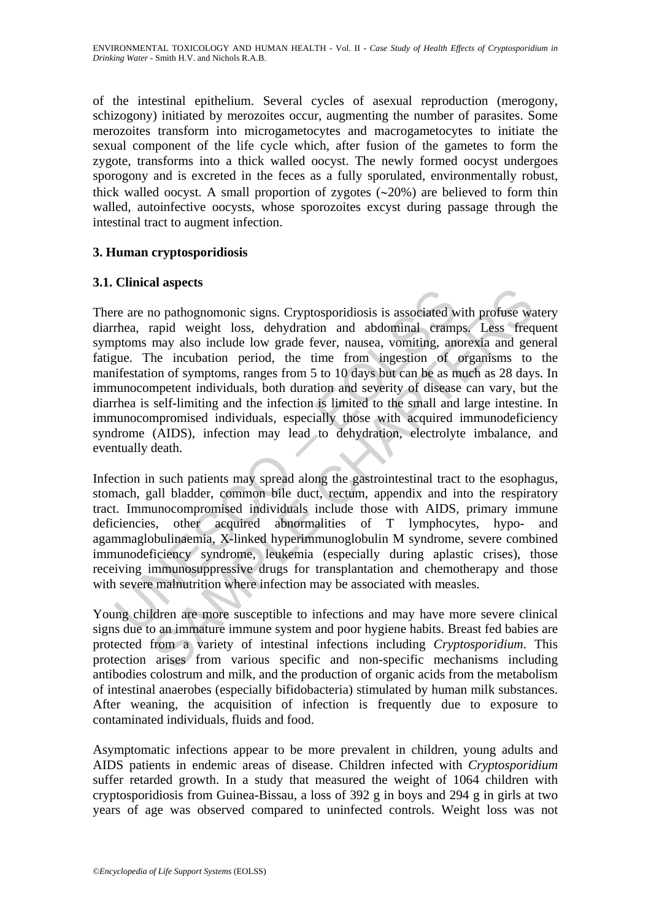ENVIRONMENTAL TOXICOLOGY AND HUMAN HEALTH - Vol. II - *Case Study of Health Effects of Cryptosporidium in Drinking Water* - Smith H.V. and Nichols R.A.B.

of the intestinal epithelium. Several cycles of asexual reproduction (merogony, schizogony) initiated by merozoites occur, augmenting the number of parasites. Some merozoites transform into microgametocytes and macrogametocytes to initiate the sexual component of the life cycle which, after fusion of the gametes to form the zygote, transforms into a thick walled oocyst. The newly formed oocyst undergoes sporogony and is excreted in the feces as a fully sporulated, environmentally robust, thick walled oocyst. A small proportion of zygotes (∼20%) are believed to form thin walled, autoinfective oocysts, whose sporozoites excyst during passage through the intestinal tract to augment infection.

### **3. Human cryptosporidiosis**

#### **3.1. Clinical aspects**

France are no pathogonomonic signs. Cryptosporidiosis is associated w<br>thea, rapid weight loss, dehydration and abdominal cramp<br>ptoms may also include low grade fever, nausea, vomiting, ang<br>untificatation of symptoms, range an appearance signs. Cryptosporidiosis is associated with profuse wan payalo weight loss, dehydration and abdominal eramps. Less freq may also include low grade fever, nausea, vomiting, anorexia and ger may also include lo There are no pathognomonic signs. Cryptosporidiosis is associated with profuse watery diarrhea, rapid weight loss, dehydration and abdominal cramps. Less frequent symptoms may also include low grade fever, nausea, vomiting, anorexia and general fatigue. The incubation period, the time from ingestion of organisms to the manifestation of symptoms, ranges from 5 to 10 days but can be as much as 28 days. In immunocompetent individuals, both duration and severity of disease can vary, but the diarrhea is self-limiting and the infection is limited to the small and large intestine. In immunocompromised individuals, especially those with acquired immunodeficiency syndrome (AIDS), infection may lead to dehydration, electrolyte imbalance, and eventually death.

Infection in such patients may spread along the gastrointestinal tract to the esophagus, stomach, gall bladder, common bile duct, rectum, appendix and into the respiratory tract. Immunocompromised individuals include those with AIDS, primary immune deficiencies, other acquired abnormalities of T lymphocytes, hypo- and agammaglobulinaemia, X-linked hyperimmunoglobulin M syndrome, severe combined immunodeficiency syndrome, leukemia (especially during aplastic crises), those receiving immunosuppressive drugs for transplantation and chemotherapy and those with severe malnutrition where infection may be associated with measles.

Young children are more susceptible to infections and may have more severe clinical signs due to an immature immune system and poor hygiene habits. Breast fed babies are protected from a variety of intestinal infections including *Cryptosporidium*. This protection arises from various specific and non-specific mechanisms including antibodies colostrum and milk, and the production of organic acids from the metabolism of intestinal anaerobes (especially bifidobacteria) stimulated by human milk substances. After weaning, the acquisition of infection is frequently due to exposure to contaminated individuals, fluids and food.

Asymptomatic infections appear to be more prevalent in children, young adults and AIDS patients in endemic areas of disease. Children infected with *Cryptosporidium* suffer retarded growth. In a study that measured the weight of 1064 children with cryptosporidiosis from Guinea-Bissau, a loss of 392 g in boys and 294 g in girls at two years of age was observed compared to uninfected controls. Weight loss was not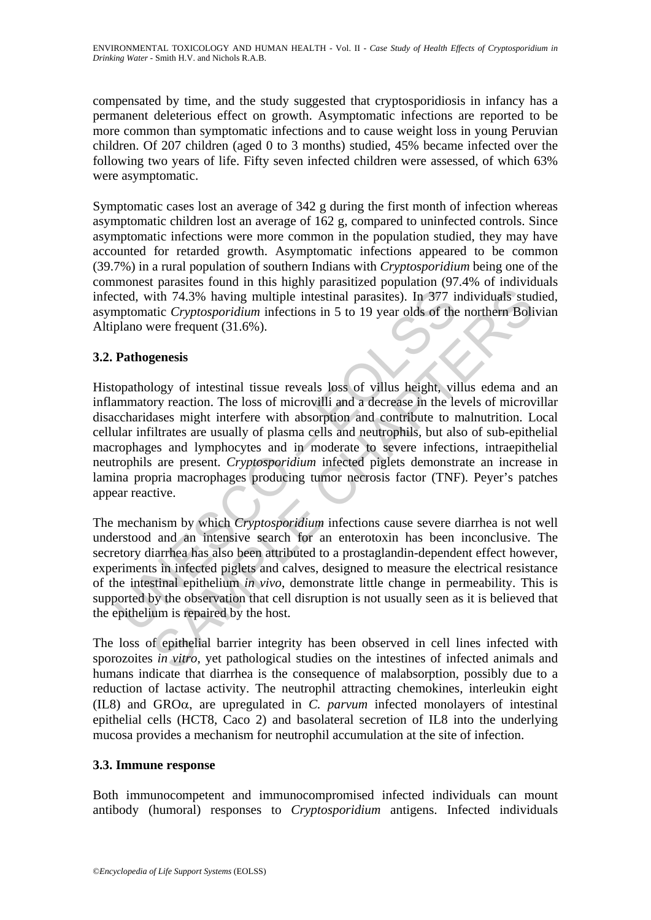ENVIRONMENTAL TOXICOLOGY AND HUMAN HEALTH - Vol. II - *Case Study of Health Effects of Cryptosporidium in Drinking Water* - Smith H.V. and Nichols R.A.B.

compensated by time, and the study suggested that cryptosporidiosis in infancy has a permanent deleterious effect on growth. Asymptomatic infections are reported to be more common than symptomatic infections and to cause weight loss in young Peruvian children. Of 207 children (aged 0 to 3 months) studied, 45% became infected over the following two years of life. Fifty seven infected children were assessed, of which 63% were asymptomatic.

Symptomatic cases lost an average of 342 g during the first month of infection whereas asymptomatic children lost an average of 162 g, compared to uninfected controls. Since asymptomatic infections were more common in the population studied, they may have accounted for retarded growth. Asymptomatic infections appeared to be common (39.7%) in a rural population of southern Indians with *Cryptosporidium* being one of the commonest parasites found in this highly parasitized population (97.4% of individuals infected, with 74.3% having multiple intestinal parasites). In 377 individuals studied, asymptomatic *Cryptosporidium* infections in 5 to 19 year olds of the northern Bolivian Altiplano were frequent (31.6%).

### **3.2. Pathogenesis**

cted, with 74.3% having multiple intestinal parasites). In 377 in<br>mptomatic *Cryptosporidium* infections in 5 to 19 year olds of the<br>plano were frequent (31.6%).<br>**Pathogenesis**<br>opathology of intestinal tissue reveals loss in 74.3% having multiple intestinal parastics). In 377 individuals studium and the method of the northern Boli<br>thi 74.3% having multiple intestinal parastics). In 377 individuals studie Cryptosporidium infections in 5 to Histopathology of intestinal tissue reveals loss of villus height, villus edema and an inflammatory reaction. The loss of microvilli and a decrease in the levels of microvillar disaccharidases might interfere with absorption and contribute to malnutrition. Local cellular infiltrates are usually of plasma cells and neutrophils, but also of sub-epithelial macrophages and lymphocytes and in moderate to severe infections, intraepithelial neutrophils are present. *Cryptosporidium* infected piglets demonstrate an increase in lamina propria macrophages producing tumor necrosis factor (TNF). Peyer's patches appear reactive.

The mechanism by which *Cryptosporidium* infections cause severe diarrhea is not well understood and an intensive search for an enterotoxin has been inconclusive. The secretory diarrhea has also been attributed to a prostaglandin-dependent effect however, experiments in infected piglets and calves, designed to measure the electrical resistance of the intestinal epithelium *in vivo*, demonstrate little change in permeability. This is supported by the observation that cell disruption is not usually seen as it is believed that the epithelium is repaired by the host.

The loss of epithelial barrier integrity has been observed in cell lines infected with sporozoites *in vitro*, yet pathological studies on the intestines of infected animals and humans indicate that diarrhea is the consequence of malabsorption, possibly due to a reduction of lactase activity. The neutrophil attracting chemokines, interleukin eight (IL8) and GROα, are upregulated in *C. parvum* infected monolayers of intestinal epithelial cells (HCT8, Caco 2) and basolateral secretion of IL8 into the underlying mucosa provides a mechanism for neutrophil accumulation at the site of infection.

#### **3.3. Immune response**

Both immunocompetent and immunocompromised infected individuals can mount antibody (humoral) responses to *Cryptosporidium* antigens. Infected individuals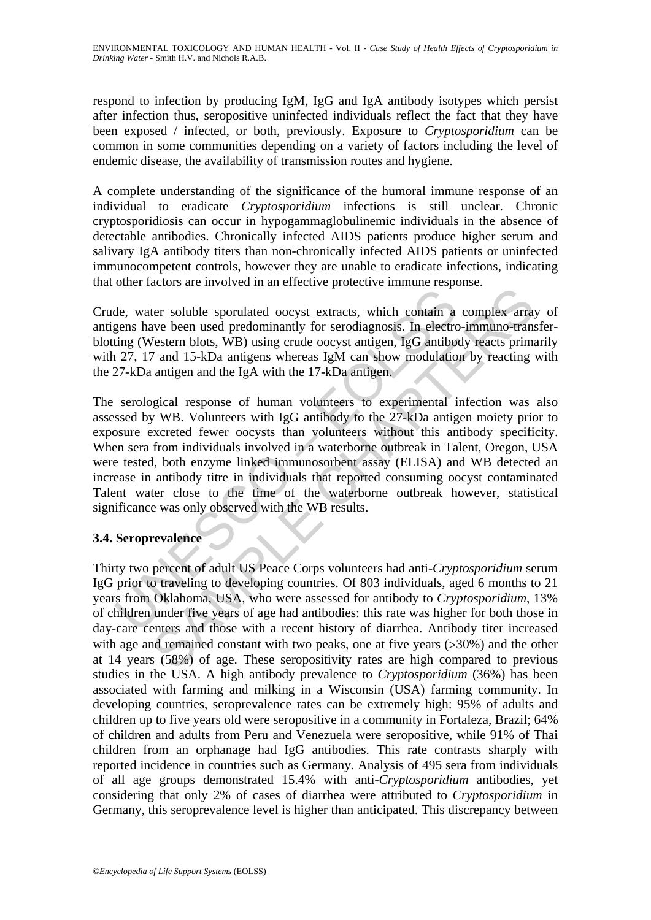respond to infection by producing IgM, IgG and IgA antibody isotypes which persist after infection thus, seropositive uninfected individuals reflect the fact that they have been exposed / infected, or both, previously. Exposure to *Cryptosporidium* can be common in some communities depending on a variety of factors including the level of endemic disease, the availability of transmission routes and hygiene.

A complete understanding of the significance of the humoral immune response of an individual to eradicate *Cryptosporidium* infections is still unclear. Chronic cryptosporidiosis can occur in hypogammaglobulinemic individuals in the absence of detectable antibodies. Chronically infected AIDS patients produce higher serum and salivary IgA antibody titers than non-chronically infected AIDS patients or uninfected immunocompetent controls, however they are unable to eradicate infections, indicating that other factors are involved in an effective protective immune response.

Crude, water soluble sporulated oocyst extracts, which contain a complex array of antigens have been used predominantly for serodiagnosis. In electro-immuno-transferblotting (Western blots, WB) using crude oocyst antigen, IgG antibody reacts primarily with 27, 17 and 15-kDa antigens whereas IgM can show modulation by reacting with the 27-kDa antigen and the IgA with the 17-kDa antigen.

de, water soluble sporulated oocyst extracts, which contain a<br>gens have been used predominantly for serodiagnosis. In electracting (Western blots, WB) using crude oocyst antigen, IgC antiboor<br>127, 17 and 15-kDa antigens wh Example sportlant and the coron of the complex and the system best of the use of predominantly for serol endominantly for serol endominantly of serol endominantly of serol endominantly of serol endominantly conducts and th The serological response of human volunteers to experimental infection was also assessed by WB. Volunteers with IgG antibody to the 27-kDa antigen moiety prior to exposure excreted fewer oocysts than volunteers without this antibody specificity. When sera from individuals involved in a waterborne outbreak in Talent, Oregon, USA were tested, both enzyme linked immunosorbent assay (ELISA) and WB detected an increase in antibody titre in individuals that reported consuming oocyst contaminated Talent water close to the time of the waterborne outbreak however, statistical significance was only observed with the WB results.

# **3.4. Seroprevalence**

Thirty two percent of adult US Peace Corps volunteers had anti-*Cryptosporidium* serum IgG prior to traveling to developing countries. Of 803 individuals, aged 6 months to 21 years from Oklahoma, USA, who were assessed for antibody to *Cryptosporidium*, 13% of children under five years of age had antibodies: this rate was higher for both those in day-care centers and those with a recent history of diarrhea. Antibody titer increased with age and remained constant with two peaks, one at five years (>30%) and the other at 14 years (58%) of age. These seropositivity rates are high compared to previous studies in the USA. A high antibody prevalence to *Cryptosporidium* (36%) has been associated with farming and milking in a Wisconsin (USA) farming community. In developing countries, seroprevalence rates can be extremely high: 95% of adults and children up to five years old were seropositive in a community in Fortaleza, Brazil; 64% of children and adults from Peru and Venezuela were seropositive, while 91% of Thai children from an orphanage had IgG antibodies. This rate contrasts sharply with reported incidence in countries such as Germany. Analysis of 495 sera from individuals of all age groups demonstrated 15.4% with anti-*Cryptosporidium* antibodies, yet considering that only 2% of cases of diarrhea were attributed to *Cryptosporidium* in Germany, this seroprevalence level is higher than anticipated. This discrepancy between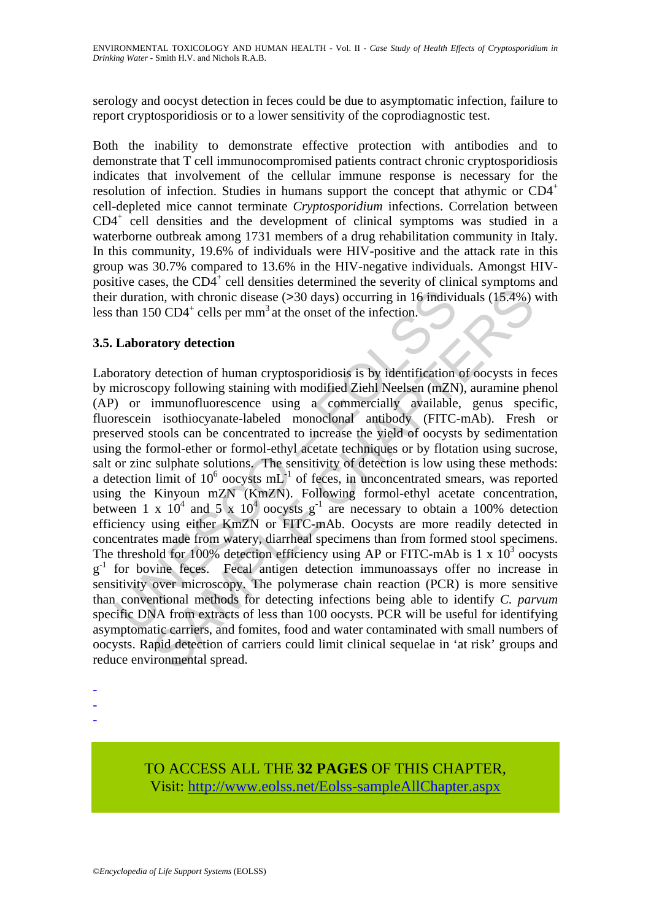serology and oocyst detection in feces could be due to asymptomatic infection, failure to report cryptosporidiosis or to a lower sensitivity of the coprodiagnostic test.

Both the inability to demonstrate effective protection with antibodies and to demonstrate that T cell immunocompromised patients contract chronic cryptosporidiosis indicates that involvement of the cellular immune response is necessary for the resolution of infection. Studies in humans support the concept that athymic or  $CD4^+$ cell-depleted mice cannot terminate *Cryptosporidium* infections. Correlation between CD4<sup>+</sup> cell densities and the development of clinical symptoms was studied in a waterborne outbreak among 1731 members of a drug rehabilitation community in Italy. In this community, 19.6% of individuals were HIV-positive and the attack rate in this group was 30.7% compared to 13.6% in the HIV-negative individuals. Amongst HIVpositive cases, the  $CD4^+$  cell densities determined the severity of clinical symptoms and their duration, with chronic disease (>30 days) occurring in 16 individuals (15.4%) with less than 150  $CD4^+$  cells per mm<sup>3</sup> at the onset of the infection.

# **3.5. Laboratory detection**

r duration, with chronic disease (>30 days) occurring in 16 indivity<br>than 150 CD4<sup>+</sup> cells per mm<sup>3</sup> at the onset of the infection.<br> **Laboratory detection**<br>
oratory detection of human cryptosporidiosis is by identificatio on, with chronic disease (>30 days) occurring in 16 individuals (15.4%)<br>50 CD4<sup>+</sup> cells per mm<sup>3</sup> at the onset of the infection.<br>**atory detection** of human cryptosporidiosis is by identification of occysts in form<br>drowing Laboratory detection of human cryptosporidiosis is by identification of oocysts in feces by microscopy following staining with modified Ziehl Neelsen (mZN), auramine phenol (AP) or immunofluorescence using a commercially available, genus specific, fluorescein isothiocyanate-labeled monoclonal antibody (FITC-mAb). Fresh or preserved stools can be concentrated to increase the yield of oocysts by sedimentation using the formol-ether or formol-ethyl acetate techniques or by flotation using sucrose, salt or zinc sulphate solutions. The sensitivity of detection is low using these methods: a detection limit of  $10^6$  oocysts mL $^{-1}$  of feces, in unconcentrated smears, was reported using the Kinyoun mZN (KmZN). Following formol-ethyl acetate concentration, between 1 x  $10^4$  and 5 x  $10^4$  oocysts  $g^{-1}$  are necessary to obtain a 100% detection efficiency using either KmZN or FITC-mAb. Oocysts are more readily detected in concentrates made from watery, diarrheal specimens than from formed stool specimens. The threshold for 100% detection efficiency using AP or FITC-mAb is 1 x  $10^3$  oocysts g<sup>-1</sup> for bovine feces. Fecal antigen detection immunoassays offer no increase in sensitivity over microscopy. The polymerase chain reaction (PCR) is more sensitive than conventional methods for detecting infections being able to identify *C. parvum* specific DNA from extracts of less than 100 oocysts. PCR will be useful for identifying asymptomatic carriers, and fomites, food and water contaminated with small numbers of oocysts. Rapid detection of carriers could limit clinical sequelae in 'at risk' groups and reduce environmental spread.

- -

-

TO ACCESS ALL THE **32 PAGES** OF THIS CHAPTER, Visi[t: http://www.eolss.net/Eolss-sampleAllChapter.aspx](https://www.eolss.net/ebooklib/sc_cart.aspx?File=E4-12-04-05)